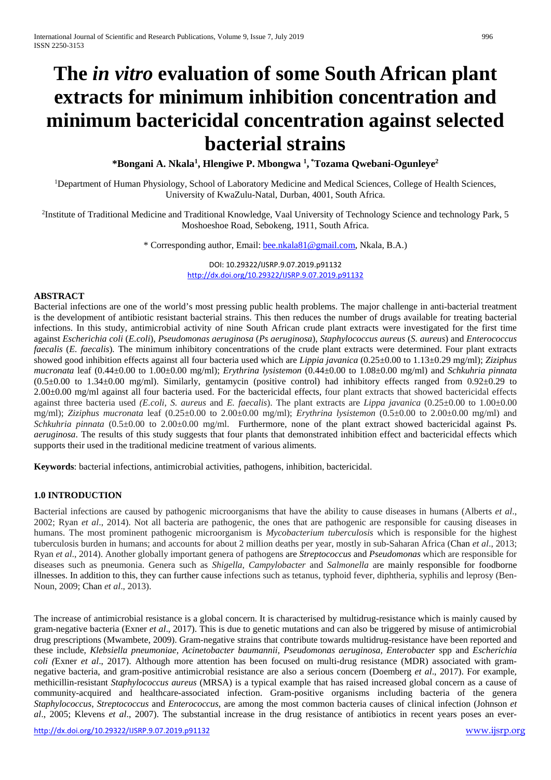# **The** *in vitro* **evaluation of some South African plant extracts for minimum inhibition concentration and minimum bactericidal concentration against selected bacterial strains**

**\*Bongani A. Nkala1 , Hlengiwe P. Mbongwa 1 , \* Tozama Qwebani-Ogunleye2**

<sup>1</sup>Department of Human Physiology, School of Laboratory Medicine and Medical Sciences, College of Health Sciences, University of KwaZulu-Natal, Durban, 4001, South Africa.

<sup>2</sup>Institute of Traditional Medicine and Traditional Knowledge, Vaal University of Technology Science and technology Park, 5 Moshoeshoe Road, Sebokeng, 1911, South Africa.

\* Corresponding author, Email: bee.nkala81@gmail.com, Nkala, B.A.)

DOI: 10.29322/IJSRP.9.07.2019.p91132 <http://dx.doi.org/10.29322/IJSRP.9.07.2019.p91132>

#### **ABSTRACT**

Bacterial infections are one of the world's most pressing public health problems. The major challenge in anti-bacterial treatment is the development of antibiotic resistant bacterial strains. This then reduces the number of drugs available for treating bacterial infections. In this study, antimicrobial activity of nine South African crude plant extracts were investigated for the first time against *Escherichia coli* (*E.coli*), *Pseudomonas aeruginosa* (*Ps aeruginosa*), *Staphylococcus aureus* (*S. aureus*) and *Enterococcus faecalis* (*E. faecalis*)*.* The minimum inhibitory concentrations of the crude plant extracts were determined. Four plant extracts showed good inhibition effects against all four bacteria used which are *Lippia javanica* (0.25±0.00 to 1.13±0.29 mg/ml); *Ziziphus mucronata* leaf (0.44±0.00 to 1.00±0.00 mg/ml); *Erythrina lysistemon* (0.44±0.00 to 1.08±0.00 mg/ml) and *Schkuhria pinnata*  $(0.5\pm0.00$  to  $1.34\pm0.00$  mg/ml). Similarly, gentamycin (positive control) had inhibitory effects ranged from  $0.92\pm0.29$  to  $2.00\pm0.00$  mg/ml against all four bacteria used. For the bactericidal effects, four plant extracts that showed bactericidal effects against three bacteria used *(E.coli*, *S. aureus* and *E. faecalis*). The plant extracts are *Lippa javanica* (0.25±0.00 to 1.00±0.00 mg/ml); *Ziziphus mucronata* leaf (0.25±0.00 to 2.00±0.00 mg/ml); *Erythrina lysistemon* (0.5±0.00 to 2.00±0.00 mg/ml) and *Schkuhria pinnata* (0.5±0.00 to 2.00±0.00 mg/ml. Furthermore, none of the plant extract showed bactericidal against Ps*. aeruginosa*. The results of this study suggests that four plants that demonstrated inhibition effect and bactericidal effects which supports their used in the traditional medicine treatment of various aliments.

**Keywords**: bacterial infections, antimicrobial activities, pathogens, inhibition, bactericidal.

#### **1.0 INTRODUCTION**

Bacterial infections are caused by pathogenic microorganisms that have the ability to cause diseases in humans (Alberts *et al*., 2002; Ryan *et al*., 2014). Not all bacteria are pathogenic, the ones that are pathogenic are responsible for causing diseases in humans. The most prominent pathogenic microorganism is *Mycobacterium tuberculosis* which is responsible for the highest tuberculosis burden in humans; and accounts for about 2 million deaths per year, mostly in sub-Saharan Africa (Chan *et al*., 2013; Ryan *et al*., 2014). Another globally important genera of pathogens are *Streptococcus* and *Pseudomonas* which are responsible for diseases such as pneumonia. Genera such as *Shigella*, *Campylobacter* and *Salmonella* are mainly responsible for foodborne illnesses. In addition to this, they can further cause infections such as tetanus, typhoid fever, diphtheria, syphilis and leprosy (Ben-Noun, 2009; Chan *et al*., 2013).

The increase of antimicrobial resistance is a global concern. It is characterised by multidrug-resistance which is mainly caused by gram-negative bacteria (Exner *et al*., 2017). This is due to genetic mutations and can also be triggered by misuse of antimicrobial drug prescriptions (Mwambete, 2009). Gram-negative strains that contribute towards multidrug-resistance have been reported and these include, *Klebsiella pneumoniae, Acinetobacter baumannii, Pseudomonas aeruginosa, Enterobacter* spp and *Escherichia coli (*Exner *et al*., 2017). Although more attention has been focused on multi-drug resistance (MDR) associated with gramnegative bacteria, and gram-positive antimicrobial resistance are also a serious concern (Doemberg *et al*., 2017). For example, methicillin-resistant *Staphylococcus aureus* (MRSA) is a typical example that has raised increased global concern as a cause of community-acquired and healthcare-associated infection. Gram-positive organisms including bacteria of the genera *Staphylococcus*, *Streptococcus* and *Enterococcus*, are among the most common bacteria causes of clinical infection (Johnson *et al*., 2005; Klevens *et al*., 2007). The substantial increase in the drug resistance of antibiotics in recent years poses an ever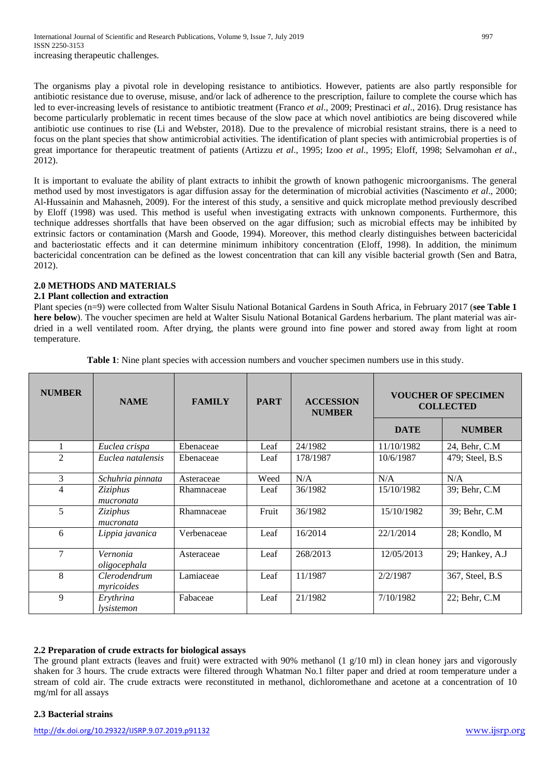The organisms play a pivotal role in developing resistance to antibiotics. However, patients are also partly responsible for antibiotic resistance due to overuse, misuse, and/or lack of adherence to the prescription, failure to complete the course which has led to ever-increasing levels of resistance to antibiotic treatment (Franco *et al*., 2009; Prestinaci *et al*., 2016). Drug resistance has become particularly problematic in recent times because of the slow pace at which novel antibiotics are being discovered while antibiotic use continues to rise (Li and Webster, 2018). Due to the prevalence of microbial resistant strains, there is a need to focus on the plant species that show antimicrobial activities. The identification of plant species with antimicrobial properties is of great importance for therapeutic treatment of patients (Artizzu *et al*., 1995; Izoo *et al*., 1995; Eloff, 1998; Selvamohan *et al*., 2012).

It is important to evaluate the ability of plant extracts to inhibit the growth of known pathogenic microorganisms. The general method used by most investigators is agar diffusion assay for the determination of microbial activities (Nascimento *et al*., 2000; Al-Hussainin and Mahasneh, 2009). For the interest of this study, a sensitive and quick microplate method previously described by Eloff (1998) was used. This method is useful when investigating extracts with unknown components. Furthermore, this technique addresses shortfalls that have been observed on the agar diffusion; such as microbial effects may be inhibited by extrinsic factors or contamination (Marsh and Goode, 1994). Moreover, this method clearly distinguishes between bactericidal and bacteriostatic effects and it can determine minimum inhibitory concentration (Eloff, 1998). In addition, the minimum bactericidal concentration can be defined as the lowest concentration that can kill any visible bacterial growth (Sen and Batra, 2012).

#### **2.0 METHODS AND MATERIALS**

#### **2.1 Plant collection and extraction**

Plant species (n=9) were collected from Walter Sisulu National Botanical Gardens in South Africa, in February 2017 (**see Table 1 here below**). The voucher specimen are held at Walter Sisulu National Botanical Gardens herbarium. The plant material was airdried in a well ventilated room. After drying, the plants were ground into fine power and stored away from light at room temperature.

| <b>NUMBER</b>  | <b>NAME</b>                | <b>FAMILY</b> | <b>PART</b> | <b>ACCESSION</b><br><b>NUMBER</b> | <b>VOUCHER OF SPECIMEN</b><br><b>COLLECTED</b> |                  |
|----------------|----------------------------|---------------|-------------|-----------------------------------|------------------------------------------------|------------------|
|                |                            |               |             |                                   | <b>DATE</b>                                    | <b>NUMBER</b>    |
| 1              | Euclea crispa              | Ebenaceae     | Leaf        | 24/1982                           | 11/10/1982                                     | 24, Behr, C.M    |
| $\mathfrak{D}$ | Euclea natalensis          | Ebenaceae     | Leaf        | 178/1987                          | 10/6/1987                                      | 479; Steel, B.S. |
| 3              | Schuhria pinnata           | Asteraceae    | Weed        | N/A                               | N/A                                            | N/A              |
| 4              | Ziziphus<br>mucronata      | Rhamnaceae    | Leaf        | 36/1982                           | 15/10/1982                                     | 39; Behr, C.M    |
| 5              | Ziziphus<br>mucronata      | Rhamnaceae    | Fruit       | 36/1982                           | 15/10/1982                                     | 39; Behr, C.M    |
| 6              | Lippia javanica            | Verbenaceae   | Leaf        | 16/2014                           | 22/1/2014                                      | 28; Kondlo, M    |
| $\overline{7}$ | Vernonia<br>oligocephala   | Asteraceae    | Leaf        | 268/2013                          | 12/05/2013                                     | 29; Hankey, A.J  |
| 8              | Clerodendrum<br>myricoides | Lamiaceae     | Leaf        | 11/1987                           | 2/2/1987                                       | 367, Steel, B.S. |
| 9              | Erythrina<br>lysistemon    | Fabaceae      | Leaf        | 21/1982                           | 7/10/1982                                      | 22; Behr, C.M.   |

**Table 1**: Nine plant species with accession numbers and voucher specimen numbers use in this study.

# **2.2 Preparation of crude extracts for biological assays**

The ground plant extracts (leaves and fruit) were extracted with 90% methanol (1 g/10 ml) in clean honey jars and vigorously shaken for 3 hours. The crude extracts were filtered through Whatman No.1 filter paper and dried at room temperature under a stream of cold air. The crude extracts were reconstituted in methanol, dichloromethane and acetone at a concentration of 10 mg/ml for all assays

# **2.3 Bacterial strains**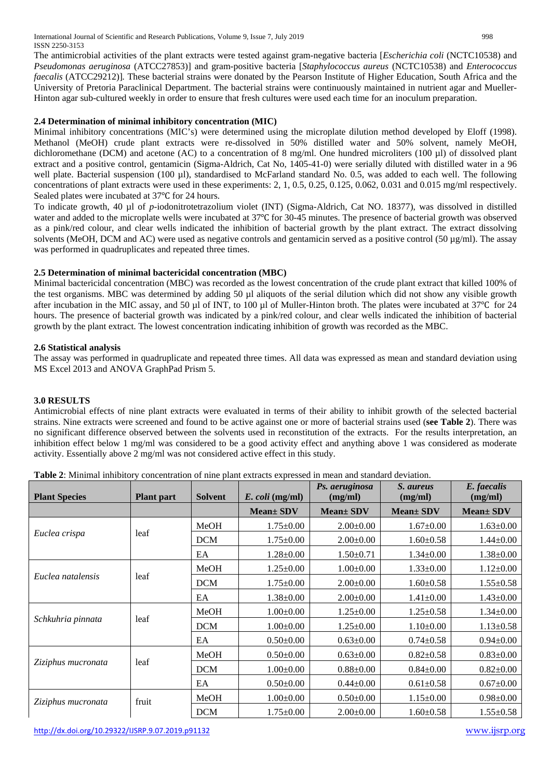International Journal of Scientific and Research Publications, Volume 9, Issue 7, July 2019 998 ISSN 2250-3153

The antimicrobial activities of the plant extracts were tested against gram-negative bacteria [*Escherichia coli* (NCTC10538) and *Pseudomonas aeruginosa* (ATCC27853)] and gram-positive bacteria [*Staphylococcus aureus* (NCTC10538) and *Enterococcus faecalis* (ATCC29212)]*.* These bacterial strains were donated by the Pearson Institute of Higher Education, South Africa and the University of Pretoria Paraclinical Department. The bacterial strains were continuously maintained in nutrient agar and Mueller-Hinton agar sub-cultured weekly in order to ensure that fresh cultures were used each time for an inoculum preparation.

# **2.4 Determination of minimal inhibitory concentration (MIC)**

Minimal inhibitory concentrations (MIC's) were determined using the microplate dilution method developed by Eloff (1998). Methanol (MeOH) crude plant extracts were re-dissolved in 50% distilled water and 50% solvent, namely MeOH, dichloromethane (DCM) and acetone (AC) to a concentration of 8 mg/ml. One hundred microliters (100 µl) of dissolved plant extract and a positive control, gentamicin (Sigma-Aldrich, Cat No, 1405-41-0) were serially diluted with distilled water in a 96 well plate. Bacterial suspension (100 µl), standardised to McFarland standard No. 0.5, was added to each well. The following concentrations of plant extracts were used in these experiments: 2, 1, 0.5, 0.25, 0.125, 0.062, 0.031 and 0.015 mg/ml respectively. Sealed plates were incubated at 37℃ for 24 hours.

To indicate growth, 40 µl of *p-*iodonitrotetrazolium violet (INT) (Sigma-Aldrich, Cat NO. 18377), was dissolved in distilled water and added to the microplate wells were incubated at 37℃ for 30-45 minutes. The presence of bacterial growth was observed as a pink/red colour, and clear wells indicated the inhibition of bacterial growth by the plant extract. The extract dissolving solvents (MeOH, DCM and AC) were used as negative controls and gentamicin served as a positive control (50  $\mu$ g/ml). The assay was performed in quadruplicates and repeated three times.

## **2.5 Determination of minimal bactericidal concentration (MBC)**

Minimal bactericidal concentration (MBC) was recorded as the lowest concentration of the crude plant extract that killed 100% of the test organisms. MBC was determined by adding 50 µl aliquots of the serial dilution which did not show any visible growth after incubation in the MIC assay, and 50 µl of INT, to 100 µl of Muller-Hinton broth. The plates were incubated at 37°C for 24 hours. The presence of bacterial growth was indicated by a pink/red colour, and clear wells indicated the inhibition of bacterial growth by the plant extract. The lowest concentration indicating inhibition of growth was recorded as the MBC.

#### **2.6 Statistical analysis**

The assay was performed in quadruplicate and repeated three times. All data was expressed as mean and standard deviation using MS Excel 2013 and ANOVA GraphPad Prism 5.

#### **3.0 RESULTS**

Antimicrobial effects of nine plant extracts were evaluated in terms of their ability to inhibit growth of the selected bacterial strains. Nine extracts were screened and found to be active against one or more of bacterial strains used (**see Table 2**). There was no significant difference observed between the solvents used in reconstitution of the extracts. For the results interpretation, an inhibition effect below 1 mg/ml was considered to be a good activity effect and anything above 1 was considered as moderate activity. Essentially above 2 mg/ml was not considered active effect in this study.

| <b>Plant Species</b> | <b>Plant part</b> | <b>Solvent</b> | $E.$ coli (mg/ml) | Ps. aeruginosa<br>(mg/ml) | S. aureus<br>(mg/ml) | E. faecalis<br>(mg/ml) |
|----------------------|-------------------|----------------|-------------------|---------------------------|----------------------|------------------------|
|                      |                   |                | <b>Mean</b> ± SDV | <b>Mean</b> ± SDV         | <b>Mean</b> ± SDV    | $Mean \pm SDV$         |
|                      |                   | MeOH           | $1.75 \pm 0.00$   | $2.00 \pm 0.00$           | $1.67 \pm 0.00$      | $1.63 \pm 0.00$        |
| Euclea crispa        | leaf              | <b>DCM</b>     | $1.75 \pm 0.00$   | $2.00 \pm 0.00$           | $1.60 \pm 0.58$      | $1.44 \pm 0.00$        |
|                      |                   | EA             | $1.28 \pm 0.00$   | $1.50 \pm 0.71$           | $1.34 \pm 0.00$      | $1.38 \pm 0.00$        |
|                      | leaf              | MeOH           | $1.25 \pm 0.00$   | $1.00 \pm 0.00$           | $1.33 \pm 0.00$      | $1.12 \pm 0.00$        |
| Euclea natalensis    |                   | <b>DCM</b>     | $1.75 \pm 0.00$   | $2.00 \pm 0.00$           | $1.60 \pm 0.58$      | $1.55 \pm 0.58$        |
|                      |                   | EA             | $1.38 \pm 0.00$   | $2.00 \pm 0.00$           | $1.41 \pm 0.00$      | $1.43 \pm 0.00$        |
|                      | leaf              | MeOH           | $1.00 \pm 0.00$   | $1.25 \pm 0.00$           | $1.25 \pm 0.58$      | $1.34 \pm 0.00$        |
| Schkuhria pinnata    |                   | <b>DCM</b>     | $1.00 \pm 0.00$   | $1.25 \pm 0.00$           | $1.10 \pm 0.00$      | $1.13 \pm 0.58$        |
|                      |                   | EA             | $0.50 \pm 0.00$   | $0.63 \pm 0.00$           | $0.74 \pm 0.58$      | $0.94 \pm 0.00$        |
|                      | leaf              | MeOH           | $0.50 \pm 0.00$   | $0.63 \pm 0.00$           | $0.82 \pm 0.58$      | $0.83 \pm 0.00$        |
| Ziziphus mucronata   |                   | <b>DCM</b>     | $1.00 \pm 0.00$   | $0.88 {\pm} 0.00$         | $0.84 \pm 0.00$      | $0.82{\pm}0.00$        |
|                      |                   | EA             | $0.50 \pm 0.00$   | $0.44 \pm 0.00$           | $0.61 \pm 0.58$      | $0.67 \pm 0.00$        |
| Ziziphus mucronata   | fruit             | MeOH           | $1.00 \pm 0.00$   | $0.50 \pm 0.00$           | $1.15 \pm 0.00$      | $0.98 \pm 0.00$        |
|                      |                   | <b>DCM</b>     | $1.75 \pm 0.00$   | $2.00 \pm 0.00$           | $1.60 \pm 0.58$      | $1.55 \pm 0.58$        |

**Table 2**: Minimal inhibitory concentration of nine plant extracts expressed in mean and standard deviation.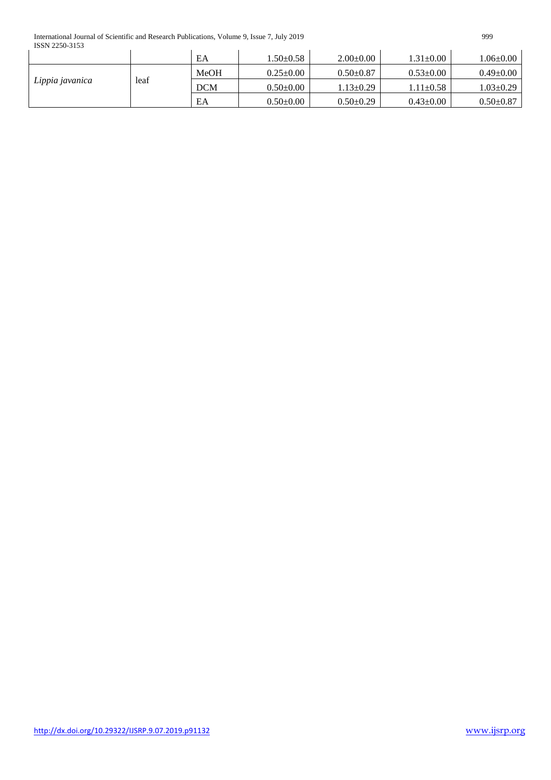International Journal of Scientific and Research Publications, Volume 9, Issue 7, July 2019 999 ISSN 2250-3153

| 100112200 2100  |      |                                |                 |                 |                 |                 |  |  |  |
|-----------------|------|--------------------------------|-----------------|-----------------|-----------------|-----------------|--|--|--|
|                 |      | EA                             | $1.50 \pm 0.58$ | $2.00 \pm 0.00$ | $1.31 \pm 0.00$ | $.06 \pm 0.00$  |  |  |  |
|                 |      | <b>MeOH</b><br>$0.25 \pm 0.00$ |                 | $0.50+0.87$     | $0.53 \pm 0.00$ | $0.49 \pm 0.00$ |  |  |  |
| Lippia javanica | leaf | <b>DCM</b>                     | $0.50 \pm 0.00$ | $1.13 \pm 0.29$ | $1.11 \pm 0.58$ | $1.03 \pm 0.29$ |  |  |  |
|                 |      | EA                             | $0.50 \pm 0.00$ | $0.50 \pm 0.29$ | $0.43 \pm 0.00$ | $0.50 \pm 0.87$ |  |  |  |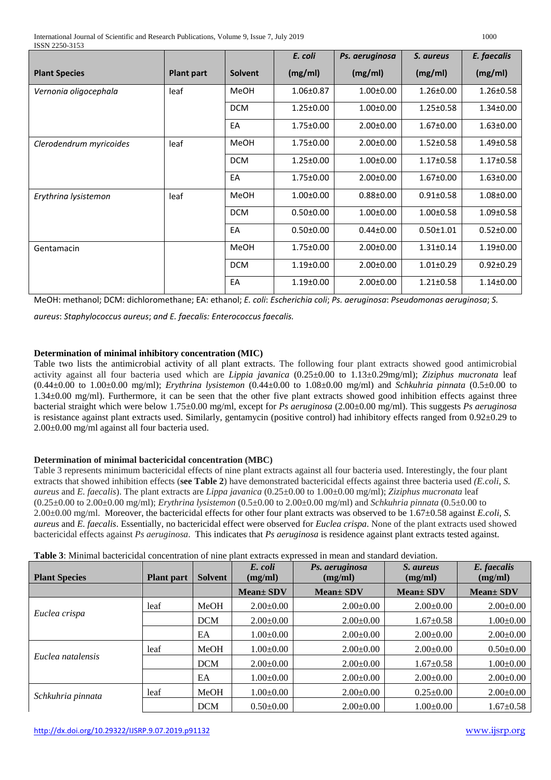|                         |                   |                | E. coli         | Ps. aeruginosa  | S. aureus       | E. faecalis     |
|-------------------------|-------------------|----------------|-----------------|-----------------|-----------------|-----------------|
| <b>Plant Species</b>    | <b>Plant part</b> | <b>Solvent</b> | (mg/ml)         | (mg/ml)         | (mg/ml)         | (mg/ml)         |
| Vernonia oligocephala   | leaf              | MeOH           | 1.06±0.87       | $1.00 \pm 0.00$ | $1.26 \pm 0.00$ | $1.26 \pm 0.58$ |
|                         |                   | <b>DCM</b>     | $1.25 \pm 0.00$ | $1.00 \pm 0.00$ | $1.25 \pm 0.58$ | $1.34 \pm 0.00$ |
|                         |                   | EA             | $1.75 \pm 0.00$ | $2.00 \pm 0.00$ | $1.67 \pm 0.00$ | $1.63 \pm 0.00$ |
| Clerodendrum myricoides | leaf              | MeOH           | 1.75±0.00       | $2.00 \pm 0.00$ | $1.52 \pm 0.58$ | 1.49±0.58       |
|                         |                   | <b>DCM</b>     | $1.25 \pm 0.00$ | $1.00 \pm 0.00$ | $1.17 \pm 0.58$ | $1.17 \pm 0.58$ |
|                         |                   | EA             | $1.75 \pm 0.00$ | $2.00 \pm 0.00$ | $1.67 \pm 0.00$ | $1.63 \pm 0.00$ |
| Erythrina lysistemon    | leaf              | <b>MeOH</b>    | $1.00 \pm 0.00$ | $0.88 \pm 0.00$ | $0.91 \pm 0.58$ | 1.08±0.00       |
|                         |                   | <b>DCM</b>     | $0.50 \pm 0.00$ | $1.00 \pm 0.00$ | $1.00 \pm 0.58$ | $1.09 \pm 0.58$ |
|                         |                   | EA             | $0.50 \pm 0.00$ | $0.44 \pm 0.00$ | $0.50 \pm 1.01$ | $0.52 \pm 0.00$ |
| Gentamacin              |                   | MeOH           | $1.75 \pm 0.00$ | $2.00 \pm 0.00$ | $1.31 \pm 0.14$ | $1.19 \pm 0.00$ |
|                         |                   | <b>DCM</b>     | $1.19 \pm 0.00$ | $2.00 \pm 0.00$ | $1.01 \pm 0.29$ | $0.92 \pm 0.29$ |
|                         |                   | EA             | $1.19 \pm 0.00$ | $2.00 \pm 0.00$ | $1.21 \pm 0.58$ | $1.14 \pm 0.00$ |

MeOH: methanol; DCM: dichloromethane; EA: ethanol; *E. coli*: *Escherichia coli*; *Ps. aeruginosa*: *Pseudomonas aeruginosa*; *S.* 

*aureus*: *Staphylococcus aureus*; *and E. faecalis: Enterococcus faecalis.*

## **Determination of minimal inhibitory concentration (MIC)**

Table two lists the antimicrobial activity of all plant extracts. The following four plant extracts showed good antimicrobial activity against all four bacteria used which are *Lippia javanica* (0.25±0.00 to 1.13±0.29mg/ml); *Ziziphus mucronata* leaf (0.44±0.00 to 1.00±0.00 mg/ml); *Erythrina lysistemon* (0.44±0.00 to 1.08±0.00 mg/ml) and *Schkuhria pinnata* (0.5±0.00 to 1.34±0.00 mg/ml). Furthermore, it can be seen that the other five plant extracts showed good inhibition effects against three bacterial straight which were below 1.75±0.00 mg/ml, except for *Ps aeruginosa* (2.00±0.00 mg/ml). This suggests *Ps aeruginosa* is resistance against plant extracts used. Similarly, gentamycin (positive control) had inhibitory effects ranged from 0.92±0.29 to 2.00±0.00 mg/ml against all four bacteria used.

#### **Determination of minimal bactericidal concentration (MBC)**

Table 3 represents minimum bactericidal effects of nine plant extracts against all four bacteria used. Interestingly, the four plant extracts that showed inhibition effects (**see Table 2**) have demonstrated bactericidal effects against three bacteria used *(E.coli*, *S. aureus* and *E. faecalis*). The plant extracts are *Lippa javanica* (0.25±0.00 to 1.00±0.00 mg/ml); *Ziziphus mucronata* leaf (0.25±0.00 to 2.00±0.00 mg/ml); *Erythrina lysistemon* (0.5±0.00 to 2.00±0.00 mg/ml) and *Schkuhria pinnata* (0.5±0.00 to 2.00±0.00 mg/ml. Moreover, the bactericidal effects for other four plant extracts was observed to be 1.67±0.58 against *E.coli*, *S. aureus* and *E. faecalis*. Essentially, no bactericidal effect were observed for *Euclea crispa*. None of the plant extracts used showed bactericidal effects against *Ps aeruginosa*. This indicates that *Ps aeruginosa* is residence against plant extracts tested against.

| <b>Plant Species</b> | <b>Plant part</b> | <b>Solvent</b> | E. coli<br>(mg/ml) | Ps. aeruginosa<br>(mg/ml) | <i>S. aureus</i><br>(mg/ml) | E. faecalis<br>(mg/ml) |
|----------------------|-------------------|----------------|--------------------|---------------------------|-----------------------------|------------------------|
|                      |                   |                | $Mean \pm SDV$     | $Mean \pm SDV$            | $Mean \pm SDV$              | $Mean \pm SDV$         |
|                      | leaf              | MeOH           | $2.00 \pm 0.00$    | $2.00\pm0.00$             | $2.00 \pm 0.00$             | $2.00 \pm 0.00$        |
| Euclea crispa        |                   | <b>DCM</b>     | $2.00 \pm 0.00$    | $2.00 \pm 0.00$           | $1.67 \pm 0.58$             | $1.00 \pm 0.00$        |
|                      |                   | EA             | $1.00 \pm 0.00$    | $2.00 \pm 0.00$           | $2.00 \pm 0.00$             | $2.00 \pm 0.00$        |
|                      | leaf              | MeOH           | $1.00 \pm 0.00$    | $2.00 \pm 0.00$           | $2.00 \pm 0.00$             | $0.50 \pm 0.00$        |
| Euclea natalensis    |                   | <b>DCM</b>     | $2.00\pm0.00$      | $2.00 \pm 0.00$           | $1.67 \pm 0.58$             | $1.00 \pm 0.00$        |
|                      |                   | EA             | $1.00 \pm 0.00$    | $2.00\pm0.00$             | $2.00 \pm 0.00$             | $2.00 \pm 0.00$        |
| Schkuhria pinnata    | leaf              | MeOH           | $1.00 \pm 0.00$    | $2.00\pm0.00$             | $0.25 \pm 0.00$             | $2.00 \pm 0.00$        |
|                      |                   | <b>DCM</b>     | $0.50 \pm 0.00$    | $2.00\pm0.00$             | $1.00 \pm 0.00$             | $1.67 \pm 0.58$        |

**Table 3**: Minimal bactericidal concentration of nine plant extracts expressed in mean and standard deviation.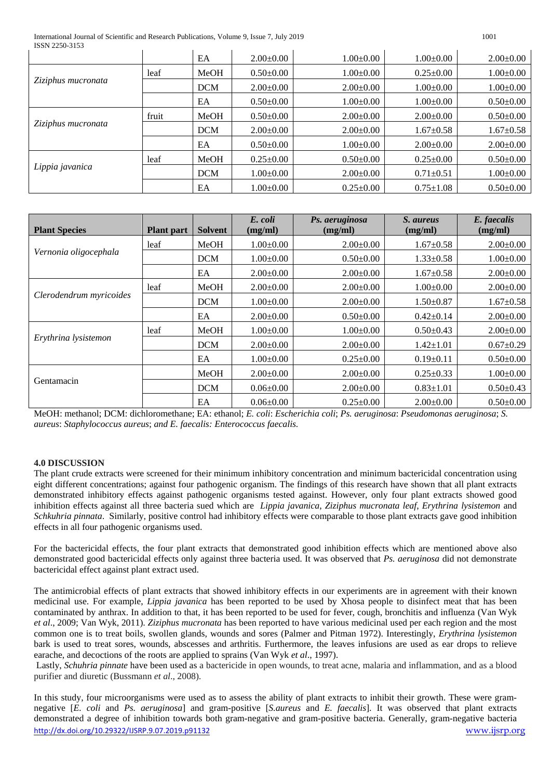International Journal of Scientific and Research Publications, Volume 9, Issue 7, July 2019 1001 ISSN 2250-3153

|       | EA         | $2.00 \pm 0.00$ | $1.00 \pm 0.00$ | $1.00 \pm 0.00$ | $2.00 \pm 0.00$ |
|-------|------------|-----------------|-----------------|-----------------|-----------------|
| leaf  | MeOH       | $0.50 \pm 0.00$ | $1.00 \pm 0.00$ | $0.25 \pm 0.00$ | $1.00 \pm 0.00$ |
|       | <b>DCM</b> | $2.00 \pm 0.00$ | $2.00\pm0.00$   | $1.00 \pm 0.00$ | $1.00 \pm 0.00$ |
|       | EA         | $0.50 \pm 0.00$ | $1.00 \pm 0.00$ | $1.00 \pm 0.00$ | $0.50 \pm 0.00$ |
| fruit | MeOH       | $0.50 \pm 0.00$ | $2.00 \pm 0.00$ | $2.00 \pm 0.00$ | $0.50 \pm 0.00$ |
|       | <b>DCM</b> | $2.00 \pm 0.00$ | $2.00\pm0.00$   | $1.67 \pm 0.58$ | $1.67 \pm 0.58$ |
|       | EA         | $0.50 \pm 0.00$ | $1.00 \pm 0.00$ | $2.00 \pm 0.00$ | $2.00 \pm 0.00$ |
| leaf  | MeOH       | $0.25 \pm 0.00$ | $0.50 \pm 0.00$ | $0.25 \pm 0.00$ | $0.50 \pm 0.00$ |
|       | <b>DCM</b> | $1.00 \pm 0.00$ | $2.00\pm0.00$   | $0.71 \pm 0.51$ | $1.00 \pm 0.00$ |
|       | EA         | $1.00 \pm 0.00$ | $0.25 \pm 0.00$ | $0.75 \pm 1.08$ | $0.50 \pm 0.00$ |
|       |            |                 |                 |                 |                 |

| <b>Plant Species</b>    | <b>Plant part</b> | <b>Solvent</b> | E. coli<br>(mg/ml) | Ps. aeruginosa<br>(mg/ml) | S. aureus<br>(mg/ml) | E. faecalis<br>(mg/ml) |
|-------------------------|-------------------|----------------|--------------------|---------------------------|----------------------|------------------------|
|                         | leaf              | MeOH           | $1.00 \pm 0.00$    | $2.00 \pm 0.00$           | $1.67 \pm 0.58$      | $2.00 \pm 0.00$        |
| Vernonia oligocephala   |                   | <b>DCM</b>     | $1.00 \pm 0.00$    | $0.50 \pm 0.00$           | $1.33 \pm 0.58$      | $1.00 \pm 0.00$        |
|                         |                   | EA             | $2.00 \pm 0.00$    | $2.00 \pm 0.00$           | $1.67 \pm 0.58$      | $2.00 \pm 0.00$        |
|                         | leaf              | MeOH           | $2.00 \pm 0.00$    | $2.00 \pm 0.00$           | $1.00 \pm 0.00$      | $2.00 \pm 0.00$        |
| Clerodendrum myricoides |                   | <b>DCM</b>     | $1.00 \pm 0.00$    | $2.00 \pm 0.00$           | $1.50 \pm 0.87$      | $1.67 \pm 0.58$        |
|                         |                   | EA             | $2.00 \pm 0.00$    | $0.50 \pm 0.00$           | $0.42 \pm 0.14$      | $2.00\pm0.00$          |
|                         | leaf              | MeOH           | $1.00 \pm 0.00$    | $1.00 \pm 0.00$           | $0.50 \pm 0.43$      | $2.00 \pm 0.00$        |
| Erythrina lysistemon    |                   | <b>DCM</b>     | $2.00 \pm 0.00$    | $2.00 \pm 0.00$           | $1.42 \pm 1.01$      | $0.67 \pm 0.29$        |
|                         |                   | EA             | $1.00 \pm 0.00$    | $0.25 \pm 0.00$           | $0.19 \pm 0.11$      | $0.50 \pm 0.00$        |
|                         |                   | MeOH           | $2.00 \pm 0.00$    | $2.00 \pm 0.00$           | $0.25 \pm 0.33$      | $1.00 \pm 0.00$        |
| Gentamacin              |                   | <b>DCM</b>     | $0.06 \pm 0.00$    | $2.00 \pm 0.00$           | $0.83 \pm 1.01$      | $0.50 \pm 0.43$        |
|                         |                   | EA             | $0.06 \pm 0.00$    | $0.25 \pm 0.00$           | $2.00 \pm 0.00$      | $0.50 \pm 0.00$        |

MeOH: methanol; DCM: dichloromethane; EA: ethanol; *E. coli*: *Escherichia coli*; *Ps. aeruginosa*: *Pseudomonas aeruginosa*; *S. aureus*: *Staphylococcus aureus*; *and E. faecalis: Enterococcus faecalis.*

#### **4.0 DISCUSSION**

The plant crude extracts were screened for their minimum inhibitory concentration and minimum bactericidal concentration using eight different concentrations; against four pathogenic organism. The findings of this research have shown that all plant extracts demonstrated inhibitory effects against pathogenic organisms tested against. However, only four plant extracts showed good inhibition effects against all three bacteria sued which are *Lippia javanica*, *Ziziphus mucronata leaf*, *Erythrina lysistemon* and *Schkuhria pinnata*. Similarly, positive control had inhibitory effects were comparable to those plant extracts gave good inhibition effects in all four pathogenic organisms used.

For the bactericidal effects, the four plant extracts that demonstrated good inhibition effects which are mentioned above also demonstrated good bactericidal effects only against three bacteria used. It was observed that *Ps. aeruginosa* did not demonstrate bactericidal effect against plant extract used.

The antimicrobial effects of plant extracts that showed inhibitory effects in our experiments are in agreement with their known medicinal use. For example, *Lippia javanica* has been reported to be used by Xhosa people to disinfect meat that has been contaminated by anthrax. In addition to that, it has been reported to be used for fever, cough, bronchitis and influenza (Van Wyk *et al*., 2009; Van Wyk, 2011). *Ziziphus mucronata* has been reported to have various medicinal used per each region and the most common one is to treat boils, swollen glands, wounds and sores (Palmer and Pitman 1972). Interestingly, *Erythrina lysistemon* bark is used to treat sores, wounds, abscesses and arthritis. Furthermore, the leaves infusions are used as ear drops to relieve earache, and decoctions of the roots are applied to sprains (Van Wyk *et al*., 1997).

Lastly, *Schuhria pinnate* have been used as a bactericide in open wounds, to treat acne, malaria and inflammation, and as a blood purifier and diuretic (Bussmann *et al*., 2008).

<http://dx.doi.org/10.29322/IJSRP.9.07.2019.p91132> [www.ijsrp.org](http://ijsrp.org/) In this study, four microorganisms were used as to assess the ability of plant extracts to inhibit their growth. These were gramnegative [*E. coli* and *Ps. aeruginosa*] and gram-positive [*S.aureus* and *E. faecalis*]. It was observed that plant extracts demonstrated a degree of inhibition towards both gram-negative and gram-positive bacteria. Generally, gram-negative bacteria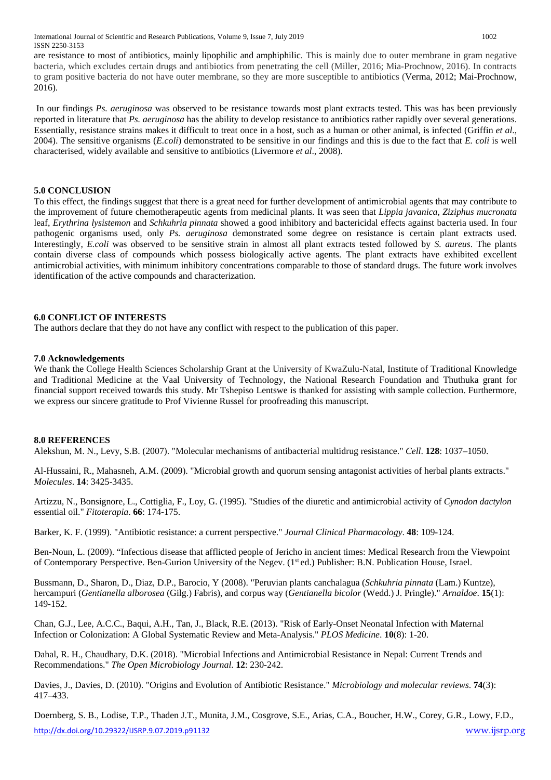International Journal of Scientific and Research Publications, Volume 9, Issue 7, July 2019 1002 ISSN 2250-3153

are resistance to most of antibiotics, mainly lipophilic and amphiphilic. This is mainly due to outer membrane in gram negative bacteria, which excludes certain drugs and antibiotics from penetrating the cell (Miller, 2016; Mia-Prochnow, 2016). In contracts to gram positive bacteria do not have outer membrane, so they are more susceptible to antibiotics (Verma, 2012; Mai-Prochnow, 2016).

In our findings *Ps. aeruginosa* was observed to be resistance towards most plant extracts tested. This was has been previously reported in literature that *Ps. aeruginosa* has the ability to develop resistance to antibiotics rather rapidly over several generations. Essentially, resistance strains makes it difficult to treat once in a host, such as a human or other animal, is infected (Griffin *et al*., 2004). The sensitive organisms (*E.coli*) demonstrated to be sensitive in our findings and this is due to the fact that *E. coli* is well characterised, widely available and sensitive to antibiotics (Livermore *et al*., 2008).

## **5.0 CONCLUSION**

To this effect, the findings suggest that there is a great need for further development of antimicrobial agents that may contribute to the improvement of future chemotherapeutic agents from medicinal plants. It was seen that *Lippia javanica*, *Ziziphus mucronata* leaf, *Erythrina lysistemon* and *Schkuhria pinnata* showed a good inhibitory and bactericidal effects against bacteria used. In four pathogenic organisms used, only *Ps. aeruginosa* demonstrated some degree on resistance is certain plant extracts used. Interestingly, *E.coli* was observed to be sensitive strain in almost all plant extracts tested followed by *S. aureus*. The plants contain diverse class of compounds which possess biologically active agents. The plant extracts have exhibited excellent antimicrobial activities, with minimum inhibitory concentrations comparable to those of standard drugs. The future work involves identification of the active compounds and characterization.

#### **6.0 CONFLICT OF INTERESTS**

The authors declare that they do not have any conflict with respect to the publication of this paper.

#### **7.0 Acknowledgements**

We thank the College Health Sciences Scholarship Grant at the University of KwaZulu-Natal, Institute of Traditional Knowledge and Traditional Medicine at the Vaal University of Technology, the National Research Foundation and Thuthuka grant for financial support received towards this study. Mr Tshepiso Lentswe is thanked for assisting with sample collection. Furthermore, we express our sincere gratitude to Prof Vivienne Russel for proofreading this manuscript.

#### **8.0 REFERENCES**

Alekshun, M. N., Levy, S.B. (2007). "Molecular mechanisms of antibacterial multidrug resistance." *Cell*. **128**: 1037–1050.

Al-Hussaini, R., Mahasneh, A.M. (2009). "Microbial growth and quorum sensing antagonist activities of herbal plants extracts." *Molecules*. **14**: 3425-3435.

Artizzu, N., Bonsignore, L., Cottiglia, F., Loy, G. (1995). "Studies of the diuretic and antimicrobial activity of *Cynodon dactylon* essential oil." *Fitoterapia*. **66**: 174-175.

Barker, K. F. (1999). "Antibiotic resistance: a current perspective." *Journal Clinical Pharmacology*. **48**: 109-124.

Ben-Noun, L. (2009). "Infectious disease that afflicted people of Jericho in ancient times: Medical Research from the Viewpoint of Contemporary Perspective. Ben-Gurion University of the Negev. (1st ed.) Publisher: B.N. Publication House, Israel.

Bussmann, D., Sharon, D., Diaz, D.P., Barocio, Y (2008). "Peruvian plants canchalagua (*Schkuhria pinnata* (Lam.) Kuntze), hercampuri (*Gentianella alborosea* (Gilg.) Fabris), and corpus way (*Gentianella bicolor* (Wedd.) J. Pringle)." *Arnaldoe*. **15**(1): 149-152.

Chan, G.J., Lee, A.C.C., Baqui, A.H., Tan, J., Black, R.E. (2013). "Risk of Early-Onset Neonatal Infection with Maternal Infection or Colonization: A Global Systematic Review and Meta-Analysis." *PLOS Medicine*. **10**(8): 1-20.

Dahal, R. H., Chaudhary, D.K. (2018). "Microbial Infections and Antimicrobial Resistance in Nepal: Current Trends and Recommendations." *The Open Microbiology Journal*. **12**: 230-242.

Davies, J., Davies, D. (2010). "Origins and Evolution of Antibiotic Resistance." *Microbiology and molecular reviews*. **74**(3): 417–433.

<http://dx.doi.org/10.29322/IJSRP.9.07.2019.p91132> [www.ijsrp.org](http://ijsrp.org/) Doernberg, S. B., Lodise, T.P., Thaden J.T., Munita, J.M., Cosgrove, S.E., Arias, C.A., Boucher, H.W., Corey, G.R., Lowy, F.D.,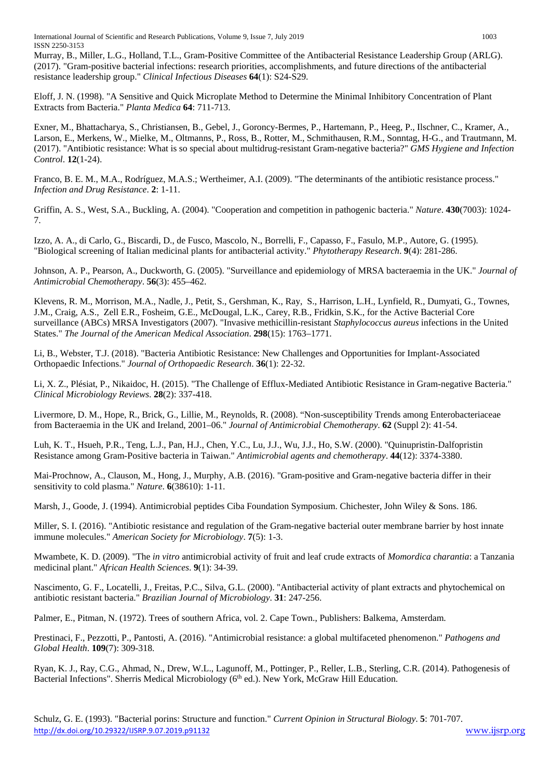International Journal of Scientific and Research Publications, Volume 9, Issue 7, July 2019 1003 ISSN 2250-3153

Murray, B., Miller, L.G., Holland, T.L., Gram-Positive Committee of the Antibacterial Resistance Leadership Group (ARLG). (2017). "Gram-positive bacterial infections: research priorities, accomplishments, and future directions of the antibacterial resistance leadership group." *Clinical Infectious Diseases* **64**(1): S24-S29.

Eloff, J. N. (1998). "A Sensitive and Quick Microplate Method to Determine the Minimal Inhibitory Concentration of Plant Extracts from Bacteria." *Planta Medica* **64**: 711-713.

Exner, M., Bhattacharya, S., Christiansen, B., Gebel, J., Goroncy-Bermes, P., Hartemann, P., Heeg, P., Ilschner, C., Kramer, A., Larson, E., Merkens, W., Mielke, M., Oltmanns, P., Ross, B., Rotter, M., Schmithausen, R.M., Sonntag, H-G., and Trautmann, M. (2017). "Antibiotic resistance: What is so special about multidrug-resistant Gram-negative bacteria?" *GMS Hygiene and Infection Control*. **12**(1-24).

Franco, B. E. M., M.A., Rodríguez, M.A.S.; Wertheimer, A.I. (2009). "The determinants of the antibiotic resistance process." *Infection and Drug Resistance*. **2**: 1-11.

Griffin, A. S., West, S.A., Buckling, A. (2004). "Cooperation and competition in pathogenic bacteria." *Nature*. **430**(7003): 1024- 7.

Izzo, A. A., di Carlo, G., Biscardi, D., de Fusco, Mascolo, N., Borrelli, F., Capasso, F., Fasulo, M.P., Autore, G. (1995). "Biological screening of Italian medicinal plants for antibacterial activity." *Phytotherapy Research*. **9**(4): 281-286.

Johnson, A. P., Pearson, A., Duckworth, G. (2005). "Surveillance and epidemiology of MRSA bacteraemia in the UK." *Journal of Antimicrobial Chemotherapy*. **56**(3): 455–462.

Klevens, R. M., Morrison, M.A., Nadle, J., Petit, S., Gershman, K., Ray, S., Harrison, L.H., Lynfield, R., Dumyati, G., Townes, J.M., Craig, A.S., Zell E.R., Fosheim, G.E., McDougal, L.K., Carey, R.B., Fridkin, S.K., for the Active Bacterial Core surveillance (ABCs) MRSA Investigators (2007). "Invasive methicillin-resistant *Staphylococcus aureus* infections in the United States." *The Journal of the American Medical Association*. **298**(15): 1763–1771.

Li, B., Webster, T.J. (2018). "Bacteria Antibiotic Resistance: New Challenges and Opportunities for Implant-Associated Orthopaedic Infections." *Journal of Orthopaedic Research*. **36**(1): 22-32.

Li, X. Z., Plésiat, P., Nikaidoc, H. (2015). "The Challenge of Efflux-Mediated Antibiotic Resistance in Gram-negative Bacteria." *Clinical Microbiology Reviews*. **28**(2): 337-418.

Livermore, D. M., Hope, R., Brick, G., Lillie, M., Reynolds, R. (2008). "Non-susceptibility Trends among Enterobacteriaceae from Bacteraemia in the UK and Ireland, 2001–06." *Journal of Antimicrobial Chemotherapy*. **62** (Suppl 2): 41-54.

Luh, K. T., Hsueh, P.R., Teng, L.J., Pan, H.J., Chen, Y.C., Lu, J.J., Wu, J.J., Ho, S.W. (2000). "Quinupristin-Dalfopristin Resistance among Gram-Positive bacteria in Taiwan." *Antimicrobial agents and chemotherapy*. **44**(12): 3374-3380.

Mai-Prochnow, A., Clauson, M., Hong, J., Murphy, A.B. (2016). "Gram-positive and Gram-negative bacteria differ in their sensitivity to cold plasma." *Nature*. **6**(38610): 1-11.

Marsh, J., Goode, J. (1994). Antimicrobial peptides Ciba Foundation Symposium. Chichester, John Wiley & Sons. 186.

Miller, S. I. (2016). "Antibiotic resistance and regulation of the Gram-negative bacterial outer membrane barrier by host innate immune molecules." *American Society for Microbiology*. **7**(5): 1-3.

Mwambete, K. D. (2009). "The *in vitro* antimicrobial activity of fruit and leaf crude extracts of *Momordica charantia*: a Tanzania medicinal plant." *African Health Sciences*. **9**(1): 34-39.

Nascimento, G. F., Locatelli, J., Freitas, P.C., Silva, G.L. (2000). "Antibacterial activity of plant extracts and phytochemical on antibiotic resistant bacteria." *Brazilian Journal of Microbiology*. **31**: 247-256.

Palmer, E., Pitman, N. (1972). Trees of southern Africa, vol. 2. Cape Town., Publishers: Balkema, Amsterdam.

Prestinaci, F., Pezzotti, P., Pantosti, A. (2016). "Antimicrobial resistance: a global multifaceted phenomenon." *Pathogens and Global Health*. **109**(7): 309-318.

Ryan, K. J., Ray, C.G., Ahmad, N., Drew, W.L., Lagunoff, M., Pottinger, P., Reller, L.B., Sterling, C.R. (2014). Pathogenesis of Bacterial Infections". Sherris Medical Microbiology (6<sup>th</sup> ed.). New York, McGraw Hill Education.